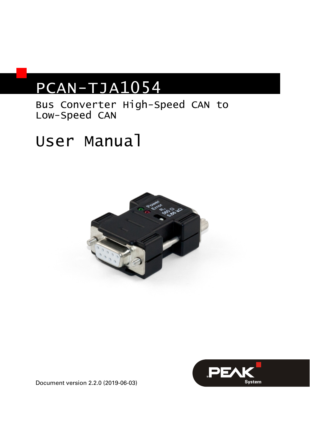# PCAN-TJA1054

Bus Converter High-Speed CAN to Low-Speed CAN

# User Manual





Document version 2.2.0 (2019-06-03)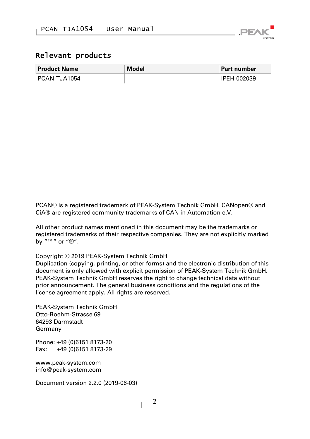

#### Relevant products

| <b>Product Name</b> | Model | <b>Part number</b> |
|---------------------|-------|--------------------|
| PCAN-TJA1054        |       | I IPEH-002039      |

PCAN® is a registered trademark of PEAK-System Technik GmbH. CANopen® and CiA® are registered community trademarks of CAN in Automation e.V.

All other product names mentioned in this document may be the trademarks or registered trademarks of their respective companies. They are not explicitly marked by  $"M"$  or  $"R"$ .

#### Copyright © 2019 PEAK-System Technik GmbH

Duplication (copying, printing, or other forms) and the electronic distribution of this document is only allowed with explicit permission of PEAK-System Technik GmbH. PEAK-System Technik GmbH reserves the right to change technical data without prior announcement. The general business conditions and the regulations of the license agreement apply. All rights are reserved.

PEAK-System Technik GmbH Otto-Roehm-Strasse 69 64293 Darmstadt Germany

Phone: +49 (0)6151 8173-20 Fax: +49 (0)6151 8173-29

[www.peak-system.com](http://www.peak-system.com/)  [info@peak-system.com](mailto:info@peak-system.com)

Document version 2.2.0 (2019-06-03)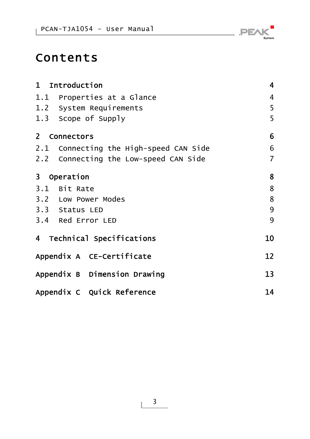## Contents

| 1 Introduction                         | 4  |
|----------------------------------------|----|
| 1.1 Properties at a Glance             | 4  |
| 1.2 System Requirements                | 5  |
| 1.3 Scope of Supply                    | 5  |
| 2 Connectors                           | 6  |
| 2.1 Connecting the High-speed CAN Side | 6  |
| 2.2 Connecting the Low-speed CAN Side  | 7  |
| 3 Operation                            | 8  |
| 3.1 Bit Rate                           | 8  |
| 3.2 Low Power Modes                    | 8  |
| 3.3 Status LED                         | 9  |
| 3.4 Red Error LED                      | 9  |
| 4 Technical Specifications             | 10 |
| Appendix A CE-Certificate              | 12 |
| Appendix B Dimension Drawing           | 13 |
| Appendix C Quick Reference             | 14 |

 $\overline{\phantom{a}}$   $\overline{\phantom{a}}$   $\overline{\phantom{a}}$   $\overline{\phantom{a}}$   $\overline{\phantom{a}}$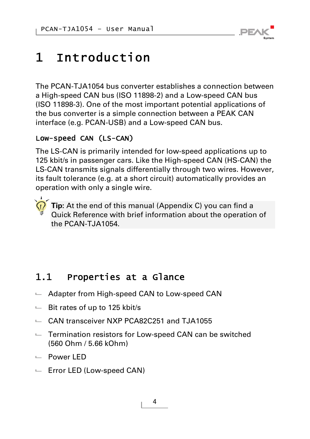

# <span id="page-3-0"></span>1 Introduction

The PCAN-TJA1054 bus converter establishes a connection between a High-speed CAN bus (ISO 11898-2) and a Low-speed CAN bus (ISO 11898-3). One of the most important potential applications of the bus converter is a simple connection between a PEAK CAN interface (e.g. PCAN-USB) and a Low-speed CAN bus.

### Low-speed CAN (LS-CAN)

The LS-CAN is primarily intended for low-speed applications up to 125 kbit/s in passenger cars. Like the High-speed CAN (HS-CAN) the LS-CAN transmits signals differentially through two wires. However, its fault tolerance (e.g. at a short circuit) automatically provides an operation with only a single wire.



**Tip:** At the end of this manual ([Appendix C\)](#page-13-0) you can find a [Quick Reference](#page-13-0) with brief information about the operation of the PCAN-TJA1054.

### 1.1 Properties at a Glance

- <span id="page-3-1"></span> $\blacksquare$  Adapter from High-speed CAN to Low-speed CAN
- $\blacksquare$  Bit rates of up to 125 kbit/s
- CAN transceiver NXP PCA82C251 and TJA1055
- $\blacksquare$  Termination resistors for Low-speed CAN can be switched (560 Ohm / 5.66 kOhm)
- Power LED
- $\leftarrow$  Error LED (Low-speed CAN)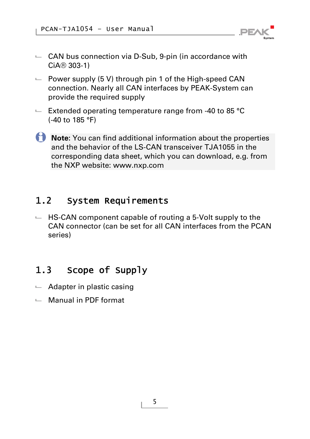

- $\leftarrow$  CAN bus connection via D-Sub, 9-pin (in accordance with CiA® 303-1)
- $\blacksquare$  Power supply (5 V) through pin 1 of the High-speed CAN connection. Nearly all CAN interfaces by PEAK-System can provide the required supply
- $\blacksquare$  Extended operating temperature range from -40 to 85 °C (-40 to 185 °F)
- **Note:** You can find additional information about the properties and the behavior of the LS-CAN transceiver TJA1055 in the corresponding data sheet, which you can download, e.g. from the NXP website: [www.nxp.com](http://www.nxp.com/)

### <span id="page-4-0"></span>1.2 System Requirements

 $\blacksquare$  HS-CAN component capable of routing a 5-Volt supply to the CAN connector (can be set for all CAN interfaces from the PCAN series)

### <span id="page-4-1"></span>1.3 Scope of Supply

- $\leftarrow$  Adapter in plastic casing
- $\Box$  Manual in PDF format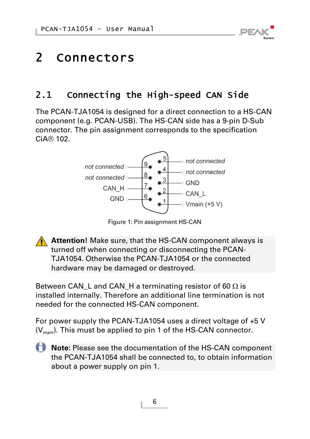# <span id="page-5-0"></span>2 Connectors

### 2.1 Connecting the High-speed CAN Side

<span id="page-5-1"></span>The PCAN-TJA1054 is designed for a direct connection to a HS-CAN component (e.g. PCAN-USB). The HS-CAN side has a 9-pin D-Sub connector. The pin assignment corresponds to the specification CiA® 102.



Figure 1: Pin assignment HS-CAN

**Attention!** Make sure, that the HS-CAN component always is turned off when connecting or disconnecting the PCAN-TJA1054. Otherwise the PCAN-TJA1054 or the connected hardware may be damaged or destroyed.

Between CAN\_L and CAN\_H a terminating resistor of 60  $\Omega$  is installed internally. Therefore an additional line termination is not needed for the connected HS-CAN component.

For power supply the PCAN-TJA1054 uses a direct voltage of +5 V  $(V_{\text{min}})$ . This must be applied to pin 1 of the HS-CAN connector.

**Note:** Please see the documentation of the HS-CAN component the PCAN-TJA1054 shall be connected to, to obtain information about a power supply on pin 1.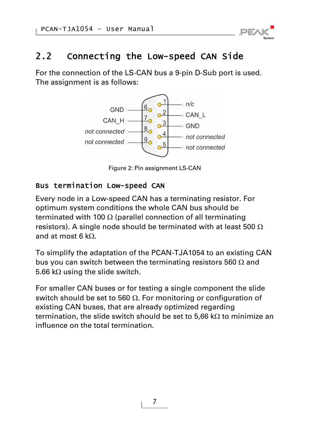

### 2.2 Connecting the Low-speed CAN Side

<span id="page-6-0"></span>For the connection of the LS-CAN bus a 9-pin D-Sub port is used. The assignment is as follows:



Figure 2: Pin assignment LS-CAN

#### Bus termination Low-speed CAN

Every node in a Low-speed CAN has a terminating resistor. For optimum system conditions the whole CAN bus should be terminated with 100  $\Omega$  (parallel connection of all terminating resistors). A single node should be terminated with at least 500  $\Omega$ and at most  $6 kQ$ 

To simplify the adaptation of the PCAN-TJA1054 to an existing CAN bus you can switch between the terminating resistors 560  $\Omega$  and 5.66 k $\Omega$  using the slide switch.

For smaller CAN buses or for testing a single component the slide switch should be set to 560  $\Omega$ . For monitoring or configuration of existing CAN buses, that are already optimized regarding termination, the slide switch should be set to 5,66 k $\Omega$  to minimize an influence on the total termination.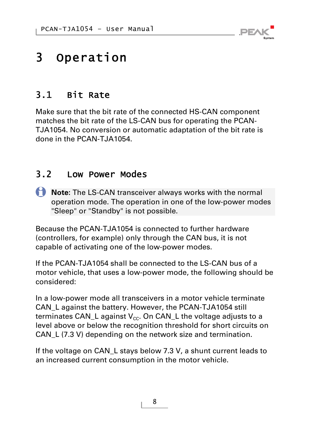

## <span id="page-7-0"></span>3 Operation

### 3.1 Bit Rate

<span id="page-7-1"></span>Make sure that the bit rate of the connected HS-CAN component matches the bit rate of the LS-CAN bus for operating the PCAN-TJA1054. No conversion or automatic adaptation of the bit rate is done in the PCAN-TJA1054.

### <span id="page-7-2"></span>3.2 Low Power Modes

**Note:** The LS-CAN transceiver always works with the normal operation mode. The operation in one of the low-power modes "Sleep" or "Standby" is not possible.

Because the PCAN-TJA1054 is connected to further hardware (controllers, for example) only through the CAN bus, it is not capable of activating one of the low-power modes.

If the PCAN-TJA1054 shall be connected to the LS-CAN bus of a motor vehicle, that uses a low-power mode, the following should be considered:

In a low-power mode all transceivers in a motor vehicle terminate CAN\_L against the battery. However, the PCAN-TJA1054 still terminates CAN\_L against  $V_{cc}$ . On CAN\_L the voltage adjusts to a level above or below the recognition threshold for short circuits on CAN\_L (7.3 V) depending on the network size and termination.

If the voltage on CAN L stays below 7.3 V, a shunt current leads to an increased current consumption in the motor vehicle.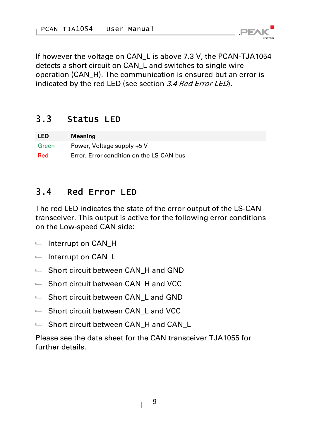If however the voltage on CAN\_L is above 7.3 V, the PCAN-TJA1054 detects a short circuit on CAN\_L and switches to single wire operation (CAN\_H). The communication is ensured but an error is indicated by the red LED (see section [3.4](#page-8-1) [Red Error LED](#page-8-1)).

**PEA** 

### <span id="page-8-0"></span>3.3 Status LED

| <b>LED</b> | <b>Meaning</b>                           |
|------------|------------------------------------------|
| Green      | Power, Voltage supply +5 V               |
| Red        | Error, Error condition on the LS-CAN bus |

### <span id="page-8-1"></span>3.4 Red Error LED

The red LED indicates the state of the error output of the LS-CAN transceiver. This output is active for the following error conditions on the Low-speed CAN side:

- $-$  Interrupt on CAN H
- $-$  Interrupt on CAN L
- $-$  Short circuit between CAN H and GND
- $\blacksquare$  Short circuit between CAN H and VCC
- $-$  Short circuit between CAN L and GND
- $\blacksquare$  Short circuit between CAN L and VCC
- $-$  Short circuit between CAN H and CAN L

Please see the data sheet for the CAN transceiver TJA1055 for further details.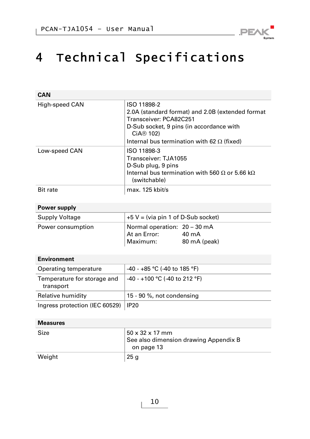

# <span id="page-9-0"></span>4 Technical Specifications

| CAN                                      |                                                                                                                                                                                                                     |  |
|------------------------------------------|---------------------------------------------------------------------------------------------------------------------------------------------------------------------------------------------------------------------|--|
| High-speed CAN                           | ISO 11898-2<br>2.0A (standard format) and 2.0B (extended format<br>Transceiver: PCA82C251<br>D-Sub socket, 9 pins (in accordance with<br>CiA <sup>®</sup> 102)<br>Internal bus termination with 62 $\Omega$ (fixed) |  |
| Low-speed CAN                            | ISO 11898-3<br>Transceiver: TJA1055<br>D-Sub plug, 9 pins<br>Internal bus termination with 560 $\Omega$ or 5.66 k $\Omega$<br>(switchable)                                                                          |  |
| <b>Bit rate</b>                          | max. 125 kbit/s                                                                                                                                                                                                     |  |
| Power supply                             |                                                                                                                                                                                                                     |  |
| Supply Voltage                           | $+5$ V = (via pin 1 of D-Sub socket)                                                                                                                                                                                |  |
| Power consumption                        | Normal operation: 20 - 30 mA<br>At an Error:<br>40 mA<br>Maximum:<br>80 mA (peak)                                                                                                                                   |  |
| <b>Environment</b>                       |                                                                                                                                                                                                                     |  |
| Operating temperature                    | -40 - +85 °C (-40 to 185 °F)                                                                                                                                                                                        |  |
| Temperature for storage and<br>transport | -40 - +100 °C (-40 to 212 °F)                                                                                                                                                                                       |  |
| Relative humidity                        | 15 - 90 %, not condensing                                                                                                                                                                                           |  |
| Ingress protection (IEC 60529)           | <b>IP20</b>                                                                                                                                                                                                         |  |
| <b>Measures</b>                          |                                                                                                                                                                                                                     |  |
| Size                                     | $50 \times 32 \times 17$ mm<br>See also dimension drawing Appendix B<br>on page 13                                                                                                                                  |  |

Weight 25 g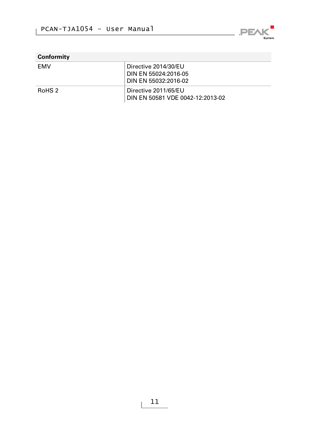

| Conformity        |                                                          |
|-------------------|----------------------------------------------------------|
| <b>FMV</b>        | Directive 2014/30/EU                                     |
|                   | DIN EN 55024:2016-05<br>DIN EN 55032:2016-02             |
| RoHS <sub>2</sub> | Directive 2011/65/EU<br>DIN EN 50581 VDE 0042-12:2013-02 |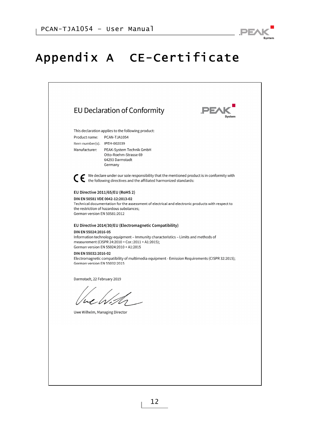

# <span id="page-11-0"></span>Appendix A CE-Certificate

|                                                      | EU Declaration of Conformity                                                                                                                                                        | PE/ |
|------------------------------------------------------|-------------------------------------------------------------------------------------------------------------------------------------------------------------------------------------|-----|
|                                                      | This declaration applies to the following product:                                                                                                                                  |     |
| Product name:                                        | PCAN-TJA1054                                                                                                                                                                        |     |
| Item number(s): IPEH-002039                          |                                                                                                                                                                                     |     |
| Manufacturer:                                        | PEAK-System Technik GmbH<br>Otto-Roehm-Strasse 69                                                                                                                                   |     |
|                                                      | 64293 Darmstadt                                                                                                                                                                     |     |
|                                                      | Germany                                                                                                                                                                             |     |
|                                                      | ◯ ← We declare under our sole responsibility that the mentioned product is in conformity with the following directives and the affiliated harmonized standards:                     |     |
|                                                      | EU Directive 2011/65/EU (RoHS 2)                                                                                                                                                    |     |
|                                                      | DIN EN 50581 VDE 0042-12:2013-02                                                                                                                                                    |     |
|                                                      | Technical documentation for the assessment of electrical and electronic products with respect to<br>the restriction of hazardous substances;                                        |     |
| German version EN 50581:2012                         |                                                                                                                                                                                     |     |
|                                                      | EU Directive 2014/30/EU (Electromagnetic Compatibility)                                                                                                                             |     |
| DIN EN 55024:2016-05                                 |                                                                                                                                                                                     |     |
|                                                      | Information technology equipment - Immunity characteristics - Limits and methods of<br>measurement (CISPR 24:2010 + Cor.:2011 + A1:2015);<br>German version EN 55024:2010 + A1:2015 |     |
| DIN EN 55032:2016-02<br>German version EN 55032:2015 | Electromagnetic compatibility of multimedia equipment - Emission Requirements (CISPR 32:2015);                                                                                      |     |
| Darmstadt, 22 February 2019                          |                                                                                                                                                                                     |     |
|                                                      |                                                                                                                                                                                     |     |
|                                                      |                                                                                                                                                                                     |     |
|                                                      |                                                                                                                                                                                     |     |
|                                                      | Uwe Wilhelm, Managing Director                                                                                                                                                      |     |
|                                                      |                                                                                                                                                                                     |     |
|                                                      |                                                                                                                                                                                     |     |
|                                                      |                                                                                                                                                                                     |     |
|                                                      |                                                                                                                                                                                     |     |
|                                                      |                                                                                                                                                                                     |     |
|                                                      |                                                                                                                                                                                     |     |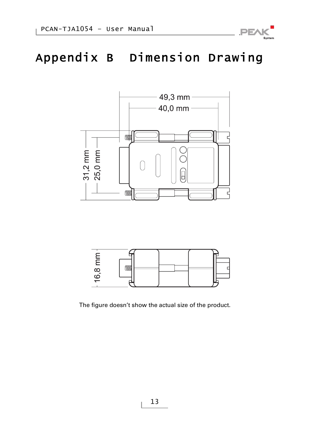

# <span id="page-12-0"></span>Appendix B Dimension Drawing





The figure doesn't show the actual size of the product.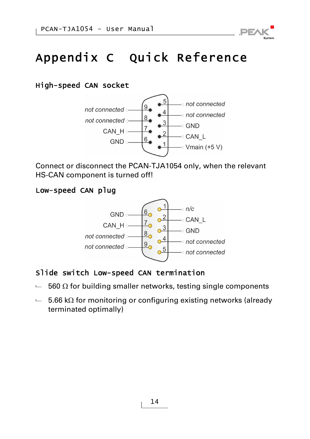

# <span id="page-13-0"></span>Appendix C Quick Reference

#### High-speed CAN socket



Connect or disconnect the PCAN-TJA1054 only, when the relevant HS-CAN component is turned off!

#### Low-speed CAN plug



#### Slide switch Low-speed CAN termination

- $-$  560  $\Omega$  for building smaller networks, testing single components
- $-$  5.66 k $\Omega$  for monitoring or configuring existing networks (already terminated optimally)